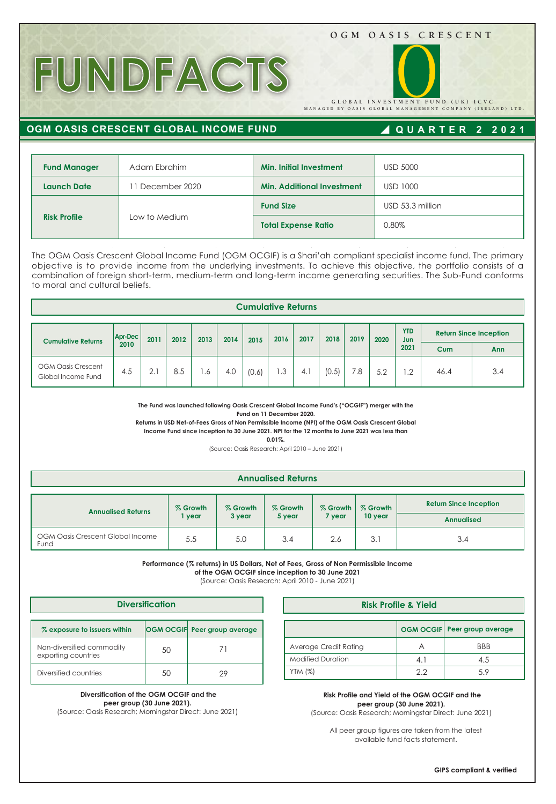### **OGM OASIS CRESCENT**

# **FUNDFACTS**

**GLOBAL INVESTMENT FUND (UK) ICVC** 

**MANAGED BY OASIS GLOBAL MANAGEMENT COMPANY (IRELAND) LTD.**

## **OGM OASIS CRESCENT GLOBAL INCOME FUND**

# **QUARTER 2 2021**

| <b>Fund Manager</b> | Adam Ebrahim  | <b>Min. Initial Investment</b>    | <b>USD 5000</b>  |  |  |
|---------------------|---------------|-----------------------------------|------------------|--|--|
| <b>Launch Date</b>  | December 2020 | <b>Min. Additional Investment</b> | <b>USD 1000</b>  |  |  |
| <b>Risk Profile</b> |               | <b>Fund Size</b>                  | USD 53.3 million |  |  |
|                     | Low to Medium | <b>Total Expense Ratio</b>        | 0.80%            |  |  |

The OGM Oasis Crescent Global Income Fund (OGM OCGIF) is a Shari'ah compliant specialist income fund. The primary objective is to provide income from the underlying investments. To achieve this objective, the portfolio consists of a combination of foreign short-term, medium-term and long-term income generating securities. The Sub-Fund conforms to moral and cultural beliefs.

| <b>Cumulative Returns</b>                       |                 |      |      |      |      |       |      |      |       |      |      |                           |                               |     |
|-------------------------------------------------|-----------------|------|------|------|------|-------|------|------|-------|------|------|---------------------------|-------------------------------|-----|
| <b>Cumulative Returns</b>                       | Apr-Dec<br>2010 | 2011 | 2012 | 2013 | 2014 | 2015  | 2016 | 2017 | 2018  | 2019 | 2020 | <b>YTD</b><br>Jun<br>2021 | <b>Return Since Inception</b> |     |
|                                                 |                 |      |      |      |      |       |      |      |       |      |      |                           | Cum                           | Ann |
| <b>OGM Oasis Crescent</b><br>Global Income Fund | 4.5             | 2.1  | 8.5  | l .6 | 4.0  | (0.6) | . 3  | 4.1  | (0.5) | 7.8  | 5.2  | $\cdot$ .2                | 46.4                          | 3.4 |

**The Fund was launched following Oasis Crescent Global Income Fund's ("OCGIF") merger with the Fund on 11 December 2020.** 

**Returns in USD Net-of-Fees Gross of Non Permissible Income (NPI) of the OGM Oasis Crescent Global Income Fund since inception to 30 June 2021. NPI for the 12 months to June 2021 was less than** 

**0.01%.**

(Source: Oasis Research: April 2010 – June 2021)

#### **Annualised Returns**

| <b>Annualised Returns</b>                | % Growth | % Growth | % Growth |        | % Growth   % Growth | <b>Return Since Inception</b> |  |
|------------------------------------------|----------|----------|----------|--------|---------------------|-------------------------------|--|
|                                          | vear     | 3 year   | 5 year   | 7 year | 10 year             | <b>Annualised</b>             |  |
| OGM Oasis Crescent Global Income<br>Fund | 5.5      | 5.0      | 3.4      | 2.6    | 3.1                 | 3.4                           |  |

**Performance (% returns) in US Dollars, Net of Fees, Gross of Non Permissible Income** 

**of the OGM OCGIF since inception to 30 June 2021**

(Source: Oasis Research: April 2010 - June 2021)

| <b>Diversification</b>                           |    |                              |  |  |  |  |  |  |  |
|--------------------------------------------------|----|------------------------------|--|--|--|--|--|--|--|
| % exposure to issuers within                     |    | OGM OCGIF Peer group average |  |  |  |  |  |  |  |
| Non-diversified commodity<br>exporting countries | 50 |                              |  |  |  |  |  |  |  |
| Diversified countries                            | 50 | 29                           |  |  |  |  |  |  |  |

 **Diversification of the OGM OCGIF and the peer group (30 June 2021).** 

(Source: Oasis Research; Morningstar Direct: June 2021)

| <b>Diversification</b>                              |    |    |                       | <b>Risk Profile &amp; Yield</b> |            |                                |  |  |  |
|-----------------------------------------------------|----|----|-----------------------|---------------------------------|------------|--------------------------------|--|--|--|
| <b>OGM OCGIF Peer group average</b><br><b>ithin</b> |    |    |                       |                                 |            | OGM OCGIF   Peer group average |  |  |  |
| lity<br>50                                          |    |    | Average Credit Rating |                                 | <b>BBB</b> |                                |  |  |  |
|                                                     |    |    |                       | <b>Modified Duration</b>        | 4.         | 4.5                            |  |  |  |
|                                                     | 50 | 29 |                       | YTM (%)                         | 2.2        | 5.9                            |  |  |  |

 **Risk Profile and Yield of the OGM OCGIF and the peer group (30 June 2021).**  (Source: Oasis Research; Morningstar Direct: June 2021)

All peer group figures are taken from the latest available fund facts statement.